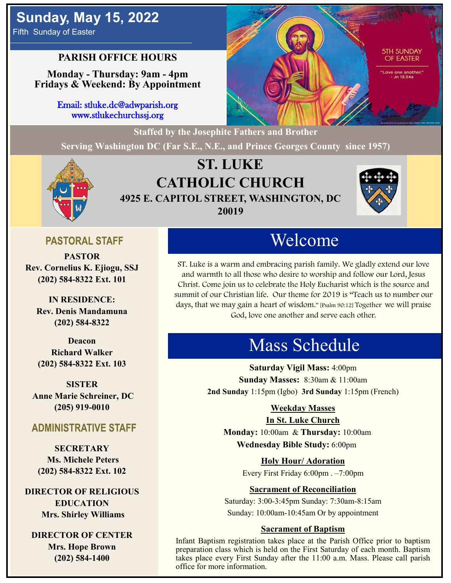# **Sunday, May 15, 2022**

Fifth Sunday of Easter

## **PARISH OFFICE HOURS**

**Monday - Thursday: 9am - 4pm Fridays & Weekend: By Appointment**

> Email: stluke.dc@adwparish.org www.stlukechurchssj.org

> > **Staffed by the Josephite Fathers and Brother**

**Serving Washington DC (Far S.E., N.E., and Prince Georges County since 1957)**



## **ST. LUKE CATHOLIC CHURCH 4925 E. CAPITOL STREET, WASHINGTON, DC 20019**



**5TH SUNDAY OF EASTER** 

anothe

## **PASTORAL STAFF**

**PASTOR Rev. Cornelius K. Ejiogu, SSJ (202) 584-8322 Ext. 101**

**IN RESIDENCE: Rev. Denis Mandamuna (202) 584-8322** 

**Deacon Richard Walker (202) 584-8322 Ext. 103**

**SISTER Anne Marie Schreiner, DC (205) 919-0010**

## **ADMINISTRATIVE STAFF**

**SECRETARY Ms. Michele Peters (202) 584-8322 Ext. 102**

**DIRECTOR OF RELIGIOUS EDUCATION Mrs. Shirley Williams**

**DIRECTOR OF CENTER Mrs. Hope Brown (202) 584-1400**

# Welcome

ST. Luke is a warm and embracing parish family. We gladly extend our love and warmth to all those who desire to worship and follow our Lord, Jesus Christ. Come join us to celebrate the Holy Eucharist which is the source and summit of our Christian life. Our theme for 2019 is "Teach us to number our days, that we may gain a heart of wisdom." [Psalm 90:12] Together we will praise God, love one another and serve each other.

# Mass Schedule

**Saturday Vigil Mass:** 4:00pm **Sunday Masses:** 8:30am & 11:00am **2nd Sunday** 1:15pm (Igbo) **3rd Sunday** 1:15pm (French)

### **Weekday Masses**

#### **In St. Luke Church**

**Monday:** 10:00am & **Thursday:** 10:00am **Wednesday Bible Study:** 6:00pm

**Holy Hour/ Adoration**

Every First Friday 6:00pm . –7:00pm

### **Sacrament of Reconciliation**

Saturday: 3:00-3:45pm Sunday: 7:30am-8:15am Sunday: 10:00am-10:45am Or by appointment

#### **Sacrament of Baptism**

Infant Baptism registration takes place at the Parish Office prior to baptism preparation class which is held on the First Saturday of each month. Baptism takes place every First Sunday after the 11:00 a.m. Mass. Please call parish office for more information.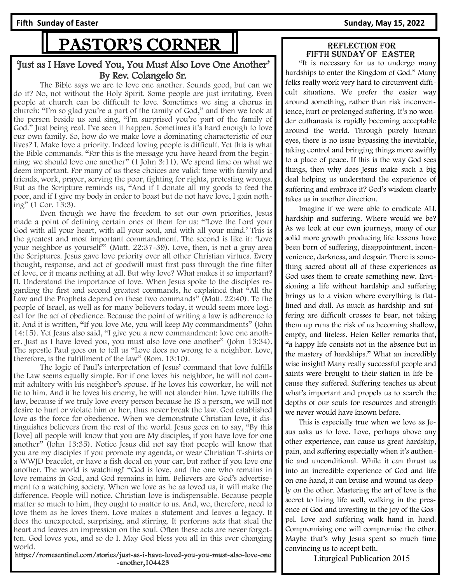# PASTOR'S CORNER

#### 'Just as I Have Loved You, You Must Also Love One Another' By Rev. Colangelo Sr.

The Bible says we are to love one another. Sounds good, but can we do it? No, not without the Holy Spirit. Some people are just irritating. Even people at church can be difficult to love. Sometimes we sing a chorus in church: "I'm so glad you're a part of the family of God," and then we look at the person beside us and sing, "I'm surprised you're part of the family of God." Just being real. I've seen it happen. Sometimes it's hard enough to love our own family. So, how do we make love a dominating characteristic of our lives? I. Make love a priority. Indeed loving people is difficult. Yet this is what the Bible commands. "For this is the message you have heard from the beginning: we should love one another" (1 John 3:11). We spend time on what we deem important. For many of us these choices are valid: time with family and friends, work, prayer, serving the poor, fighting for rights, protesting wrongs. But as the Scripture reminds us, "And if I donate all my goods to feed the poor, and if I give my body in order to boast but do not have love, I gain nothing" (1 Cor. 13:3).

Even though we have the freedom to set our own priorities, Jesus made a point of defining certain ones of them for us: "'Love the Lord your God with all your heart, with all your soul, and with all your mind.' This is the greatest and most important commandment. The second is like it: 'Love your neighbor as yourself'" (Matt. 22:37-39). Love, then, is not a gray area the Scriptures. Jesus gave love priority over all other Christian virtues. Every thought, response, and act of goodwill must first pass through the fine filter of love, or it means nothing at all. But why love? What makes it so important? II. Understand the importance of love. When Jesus spoke to the disciples regarding the first and second greatest commands, he explained that "All the Law and the Prophets depend on these two commands" (Matt. 22:40). To the people of Israel, as well as for many believers today, it would seem more logical for the act of obedience. Because the point of writing a law is adherence to it. And it is written, "If you love Me, you will keep My commandments" (John 14:15). Yet Jesus also said, "I give you a new commandment: love one another. Just as I have loved you, you must also love one another" (John 13:34). The apostle Paul goes on to tell us "Love does no wrong to a neighbor. Love, therefore, is the fulfillment of the law" (Rom. 13:10).

The logic of Paul's interpretation of Jesus' command that love fulfills the Law seems equally simple. For if one loves his neighbor, he will not commit adultery with his neighbor's spouse. If he loves his coworker, he will not lie to him. And if he loves his enemy, he will not slander him. Love fulfills the law, because if we truly love every person because he IS a person, we will not desire to hurt or violate him or her, thus never break the law. God established love as the force for obedience. When we demonstrate Christian love, it distinguishes believers from the rest of the world. Jesus goes on to say, "By this [love] all people will know that you are My disciples, if you have love for one another" (John 13:35). Notice Jesus did not say that people will know that you are my disciples if you promote my agenda, or wear Christian T-shirts or a WWJD bracelet, or have a fish decal on your car, but rather if you love one another. The world is watching! "God is love, and the one who remains in love remains in God, and God remains in him. Believers are God's advertisement to a watching society. When we love as he as loved us, it will make the difference. People will notice. Christian love is indispensable. Because people matter so much to him, they ought to matter to us. And, we, therefore, need to love them as he loves them. Love makes a statement and leaves a legacy. It does the unexpected, surprising, and stirring. It performs acts that steal the heart and leaves an impression on the soul. Often these acts are never forgotten. God loves you, and so do I. May God bless you all in this ever changing world.

https://romesentinel.com/stories/just-as-i-have-loved-you-you-must-also-love-one -another,104423

#### Reflection for fifth SUNDAY OF easter

 "It is necessary for us to undergo many hardships to enter the Kingdom of God." Many folks really work very hard to circumvent difficult situations. We prefer the easier way around something, rather than risk inconvenience, hurt or prolonged suffering. It's no wonder euthanasia is rapidly becoming acceptable around the world. Through purely human eyes, there is no issue bypassing the inevitable, taking control and bringing things more swiftly to a place of peace. If this is the way God sees things, then why does Jesus make such a big deal helping us understand the experience of suffering and embrace it? God's wisdom clearly takes us in another direction.

 Imagine if we were able to eradicate ALL hardship and suffering. Where would we be? As we look at our own journeys, many of our solid more growth producing life lessons have been born of suffering, disappointment, inconvenience, darkness, and despair. There is something sacred about all of these experiences as God uses them to create something new. Envisioning a life without hardship and suffering brings us to a vision where everything is flatlined and dull. As much as hardship and suffering are difficult crosses to bear, not taking them up runs the risk of us becoming shallow, empty, and lifeless. Helen Keller remarks that, "a happy life consists not in the absence but in the mastery of hardships." What an incredibly wise insight! Many really successful people and saints were brought to their station in life because they suffered. Suffering teaches us about what's important and propels us to search the depths of our souls for resources and strength we never would have known before.

 This is especially true when we love as Jesus asks us to love. Love, perhaps above any other experience, can cause us great hardship, pain, and suffering especially when it's authentic and unconditional. While it can thrust us into an incredible experience of God and life on one hand, it can bruise and wound us deeply on the other. Mastering the art of love is the secret to living life well, walking in the presence of God and investing in the joy of the Gospel. Love and suffering walk hand in hand. Compromising one will compromise the other. Maybe that's why Jesus spent so much time convincing us to accept both.

Liturgical Publication 2015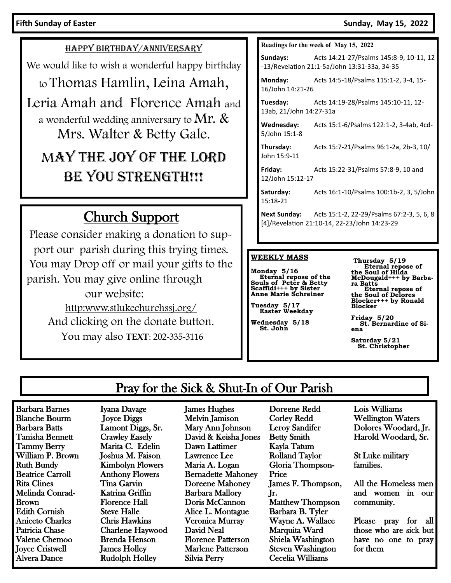#### **Fifth Sunday of Easter Sunday, May 15, 2022**

HAPPY BIRTHDAY/ANNIVERSARY

We would like to wish a wonderful happy birthday

to Thomas Hamlin, Leina Amah,

Leria Amah and Florence Amah and a wonderful wedding anniversary to Mr.  $\&$ Mrs. Walter & Betty Gale.

# MAY THE JOY OF THE LORD BE YOU STRENGTH!!!

# Church Support

Please consider making a donation to support our parish during this trying times. You may Drop off or mail your gifts to the parish. You may give online through our website: http:www.stlukechurchssj.org/ And clicking on the donate button. You may also **TEXT**: 202-335-3116

#### **Readings for the week of May 15, 2022**

**Sundays:** Acts 14:21-27/Psalms 145:8-9, 10-11, 12 -13/Revelation 21:1-5a/John 13:31-33a, 34-35

**Monday:** Acts 14:5-18/Psalms 115:1-2, 3-4, 15- 16/John 14:21-26

**Tuesday:** Acts 14:19-28/Psalms 145:10-11, 12- 13ab, 21/John 14:27-31a

**Wednesday:** Acts 15:1-6/Psalms 122:1-2, 3-4ab, 4cd-5/John 15:1-8

**Thursday:** Acts 15:7-21/Psalms 96:1-2a, 2b-3, 10/ John 15:9-11

**Friday:** Acts 15:22-31/Psalms 57:8-9, 10 and 12/John 15:12-17

**Saturday:** Acts 16:1-10/Psalms 100:1b-2, 3, 5/John 15:18-21

**Next Sunday:** Acts 15:1-2, 22-29/Psalms 67:2-3, 5, 6, 8 [4]/Revelation 21:10-14, 22-23/John 14:23-29

#### **WEEKLY MASS**

**Monday 5/16 Eternal repose of the Souls of Peter & Betty Scaffidi+++ by Sister Anne Marie Schreiner**

**Tuesday 5/17 Easter Weekday**

**Wednesday 5/18 St. John**

**Thursday 5/19 Eternal repose of the Soul of Hilda McDougald+++ by Barbara Batts Eternal repose of the Soul of Delores Blocker+++ by Ronald Blocker** 

**Friday 5/20 St. Bernardine of Siena**

**Saturday 5/21 St. Christopher**

## Pray for the Sick & Shut-In of Our Parish

Barbara Barnes Blanche Bourm Barbara Batts Tanisha Bennett Tammy Berry William P. Brown Ruth Bundy Beatrice Carroll Rita Clines Melinda Conrad-Brown Edith Cornish Aniceto Charles Patricia Chase Valene Chemoo Joyce Cristwell Alvera Dance

Iyana Davage Joyce Diggs Lamont Diggs, Sr. Crawley Easely Marita C. Edelin Joshua M. Faison Kimbolyn Flowers Anthony Flowers Tina Garvin Katrina Griffin Florence Hall Steve Halle Chris Hawkins Charlene Haywood Brenda Henson James Holley Rudolph Holley

James Hughes Melvin Jamison Mary Ann Johnson David & Keisha Jones Dawn Lattimer Lawrence Lee Maria A. Logan Bernadette Mahoney Doreene Mahoney Barbara Mallory Doris McCannon Alice L. Montague Veronica Murray David Neal Florence Patterson Marlene Patterson Silvia Perry

Doreene Redd Corley Redd Leroy Sandifer Betty Smith Kayla Tatum Rolland Taylor Gloria Thompson-Price James F. Thompson, Jr. Matthew Thompson Barbara B. Tyler Wayne A. Wallace Marquita Ward Shiela Washington Steven Washington Cecelia Williams

Lois Williams Wellington Waters Dolores Woodard, Jr. Harold Woodard, Sr.

St Luke military families.

All the Homeless men and women in our community.

Please pray for all those who are sick but have no one to pray for them